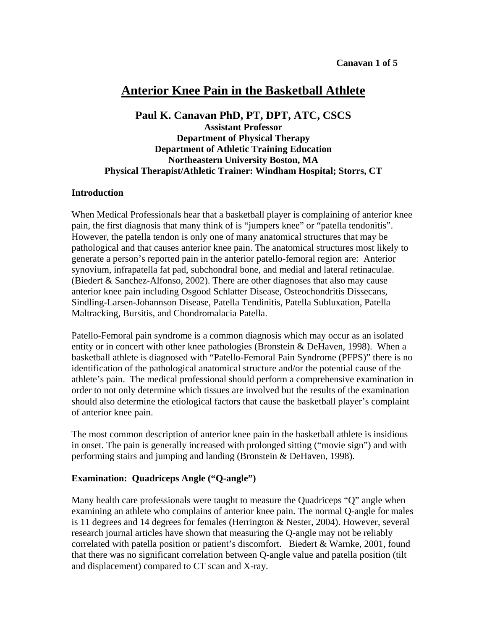# **Anterior Knee Pain in the Basketball Athlete**

# **Paul K. Canavan PhD, PT, DPT, ATC, CSCS**

## **Assistant Professor Department of Physical Therapy Department of Athletic Training Education Northeastern University Boston, MA Physical Therapist/Athletic Trainer: Windham Hospital; Storrs, CT**

#### **Introduction**

When Medical Professionals hear that a basketball player is complaining of anterior knee pain, the first diagnosis that many think of is "jumpers knee" or "patella tendonitis". However, the patella tendon is only one of many anatomical structures that may be pathological and that causes anterior knee pain. The anatomical structures most likely to generate a person's reported pain in the anterior patello-femoral region are: Anterior synovium, infrapatella fat pad, subchondral bone, and medial and lateral retinaculae. (Biedert & Sanchez-Alfonso, 2002). There are other diagnoses that also may cause anterior knee pain including Osgood Schlatter Disease, Osteochondritis Dissecans, Sindling-Larsen-Johannson Disease, Patella Tendinitis, Patella Subluxation, Patella Maltracking, Bursitis, and Chondromalacia Patella.

Patello-Femoral pain syndrome is a common diagnosis which may occur as an isolated entity or in concert with other knee pathologies (Bronstein & DeHaven, 1998). When a basketball athlete is diagnosed with "Patello-Femoral Pain Syndrome (PFPS)" there is no identification of the pathological anatomical structure and/or the potential cause of the athlete's pain. The medical professional should perform a comprehensive examination in order to not only determine which tissues are involved but the results of the examination should also determine the etiological factors that cause the basketball player's complaint of anterior knee pain.

The most common description of anterior knee pain in the basketball athlete is insidious in onset. The pain is generally increased with prolonged sitting ("movie sign") and with performing stairs and jumping and landing (Bronstein & DeHaven, 1998).

## **Examination: Quadriceps Angle ("Q-angle")**

Many health care professionals were taught to measure the Quadriceps "Q" angle when examining an athlete who complains of anterior knee pain. The normal Q-angle for males is 11 degrees and 14 degrees for females (Herrington & Nester, 2004). However, several research journal articles have shown that measuring the Q-angle may not be reliably correlated with patella position or patient's discomfort. Biedert & Warnke, 2001, found that there was no significant correlation between Q-angle value and patella position (tilt and displacement) compared to CT scan and X-ray.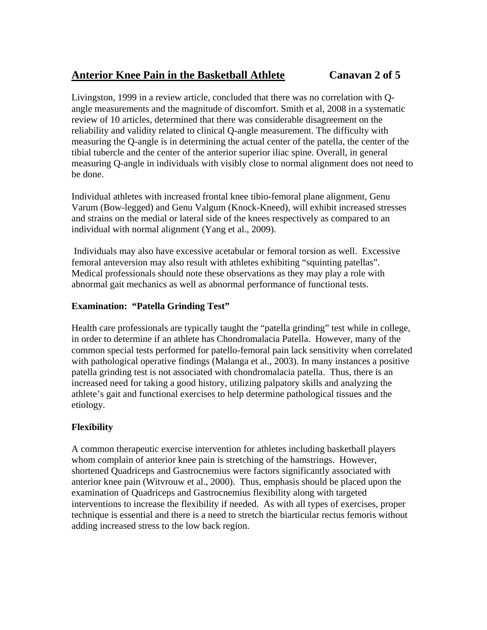## **Anterior Knee Pain in the Basketball Athlete Canavan 2 of 5**

Livingston, 1999 in a review article, concluded that there was no correlation with Qangle measurements and the magnitude of discomfort. Smith et al, 2008 in a systematic review of 10 articles, determined that there was considerable disagreement on the reliability and validity related to clinical Q-angle measurement. The difficulty with measuring the Q-angle is in determining the actual center of the patella, the center of the tibial tubercle and the center of the anterior superior iliac spine. Overall, in general measuring Q-angle in individuals with visibly close to normal alignment does not need to be done.

Individual athletes with increased frontal knee tibio-femoral plane alignment, Genu Varum (Bow-legged) and Genu Valgum (Knock-Kneed), will exhibit increased stresses and strains on the medial or lateral side of the knees respectively as compared to an individual with normal alignment (Yang et al., 2009).

 Individuals may also have excessive acetabular or femoral torsion as well. Excessive femoral anteversion may also result with athletes exhibiting "squinting patellas". Medical professionals should note these observations as they may play a role with abnormal gait mechanics as well as abnormal performance of functional tests.

## **Examination: "Patella Grinding Test"**

Health care professionals are typically taught the "patella grinding" test while in college, in order to determine if an athlete has Chondromalacia Patella. However, many of the common special tests performed for patello-femoral pain lack sensitivity when correlated with pathological operative findings (Malanga et al., 2003). In many instances a positive patella grinding test is not associated with chondromalacia patella. Thus, there is an increased need for taking a good history, utilizing palpatory skills and analyzing the athlete's gait and functional exercises to help determine pathological tissues and the etiology.

## **Flexibility**

A common therapeutic exercise intervention for athletes including basketball players whom complain of anterior knee pain is stretching of the hamstrings. However, shortened Quadriceps and Gastrocnemius were factors significantly associated with anterior knee pain (Witvrouw et al., 2000). Thus, emphasis should be placed upon the examination of Quadriceps and Gastrocnemius flexibility along with targeted interventions to increase the flexibility if needed. As with all types of exercises, proper technique is essential and there is a need to stretch the biarticular rectus femoris without adding increased stress to the low back region.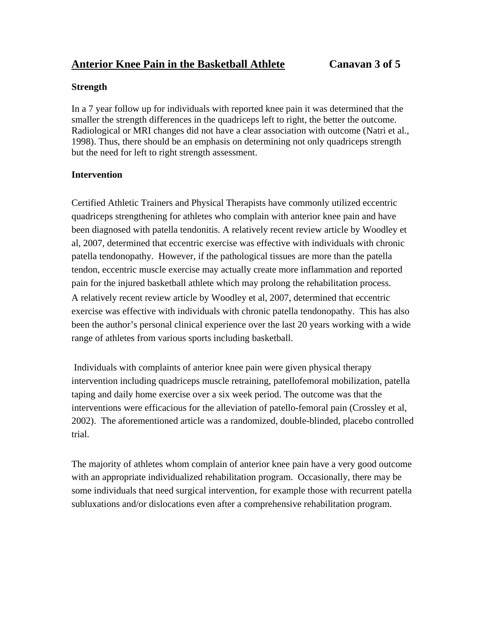## **Strength**

In a 7 year follow up for individuals with reported knee pain it was determined that the smaller the strength differences in the quadriceps left to right, the better the outcome. Radiological or MRI changes did not have a clear association with outcome (Natri et al., 1998). Thus, there should be an emphasis on determining not only quadriceps strength but the need for left to right strength assessment.

## **Intervention**

Certified Athletic Trainers and Physical Therapists have commonly utilized eccentric quadriceps strengthening for athletes who complain with anterior knee pain and have been diagnosed with patella tendonitis. A relatively recent review article by Woodley et al, 2007, determined that eccentric exercise was effective with individuals with chronic patella tendonopathy. However, if the pathological tissues are more than the patella tendon, eccentric muscle exercise may actually create more inflammation and reported pain for the injured basketball athlete which may prolong the rehabilitation process. A relatively recent review article by Woodley et al, 2007, determined that eccentric exercise was effective with individuals with chronic patella tendonopathy. This has also been the author's personal clinical experience over the last 20 years working with a wide range of athletes from various sports including basketball.

 Individuals with complaints of anterior knee pain were given physical therapy intervention including quadriceps muscle retraining, patellofemoral mobilization, patella taping and daily home exercise over a six week period. The outcome was that the interventions were efficacious for the alleviation of patello-femoral pain (Crossley et al, 2002). The aforementioned article was a randomized, double-blinded, placebo controlled trial.

The majority of athletes whom complain of anterior knee pain have a very good outcome with an appropriate individualized rehabilitation program. Occasionally, there may be some individuals that need surgical intervention, for example those with recurrent patella subluxations and/or dislocations even after a comprehensive rehabilitation program.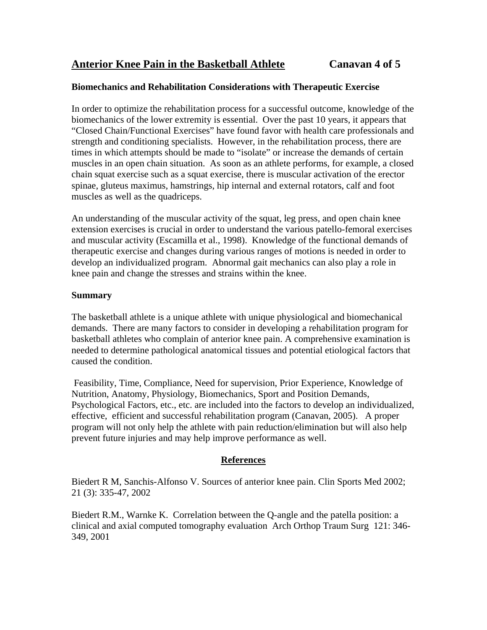## **Biomechanics and Rehabilitation Considerations with Therapeutic Exercise**

In order to optimize the rehabilitation process for a successful outcome, knowledge of the biomechanics of the lower extremity is essential. Over the past 10 years, it appears that "Closed Chain/Functional Exercises" have found favor with health care professionals and strength and conditioning specialists. However, in the rehabilitation process, there are times in which attempts should be made to "isolate" or increase the demands of certain muscles in an open chain situation. As soon as an athlete performs, for example, a closed chain squat exercise such as a squat exercise, there is muscular activation of the erector spinae, gluteus maximus, hamstrings, hip internal and external rotators, calf and foot muscles as well as the quadriceps.

An understanding of the muscular activity of the squat, leg press, and open chain knee extension exercises is crucial in order to understand the various patello-femoral exercises and muscular activity (Escamilla et al., 1998). Knowledge of the functional demands of therapeutic exercise and changes during various ranges of motions is needed in order to develop an individualized program. Abnormal gait mechanics can also play a role in knee pain and change the stresses and strains within the knee.

#### **Summary**

The basketball athlete is a unique athlete with unique physiological and biomechanical demands. There are many factors to consider in developing a rehabilitation program for basketball athletes who complain of anterior knee pain. A comprehensive examination is needed to determine pathological anatomical tissues and potential etiological factors that caused the condition.

 Feasibility, Time, Compliance, Need for supervision, Prior Experience, Knowledge of Nutrition, Anatomy, Physiology, Biomechanics, Sport and Position Demands, Psychological Factors, etc., etc. are included into the factors to develop an individualized, effective, efficient and successful rehabilitation program (Canavan, 2005). A proper program will not only help the athlete with pain reduction/elimination but will also help prevent future injuries and may help improve performance as well.

## **References**

Biedert R M, Sanchis-Alfonso V. Sources of anterior knee pain. Clin Sports Med 2002; 21 (3): 335-47, 2002

Biedert R.M., Warnke K. Correlation between the Q-angle and the patella position: a clinical and axial computed tomography evaluation Arch Orthop Traum Surg 121: 346- 349, 2001